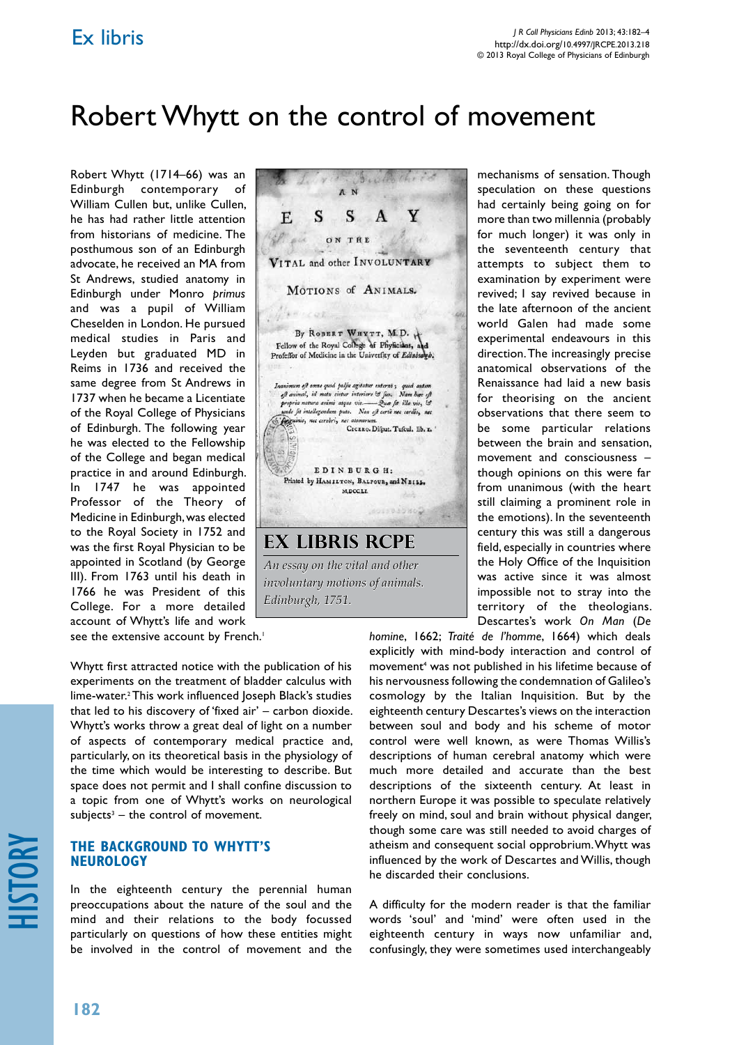## Ex libris

# Robert Whytt on the control of movement

Robert Whytt (1714–66) was an Edinburgh contemporary of William Cullen but, unlike Cullen, he has had rather little attention from historians of medicine. The posthumous son of an Edinburgh advocate, he received an MA from St Andrews, studied anatomy in Edinburgh under Monro *primus* and was a pupil of William Cheselden in London. He pursued medical studies in Paris and Leyden but graduated MD in Reims in 1736 and received the same degree from St Andrews in 1737 when he became a Licentiate of the Royal College of Physicians of Edinburgh. The following year he was elected to the Fellowship of the College and began medical practice in and around Edinburgh. In 1747 he was appointed Professor of the Theory of Medicine in Edinburgh, was elected to the Royal Society in 1752 and was the first Royal Physician to be appointed in Scotland (by George III). From 1763 until his death in 1766 he was President of this College. For a more detailed account of Whytt's life and work

The Ed  $3.000$ S S  $\mathbf{A}$ Y E. ON THE VITAL and other INVOLUNTARY MOTIONS of ANIMALS. **Cast** By ROBERT WHYTT, M.D. Fellow of the Royal College of Phyticians, and<br>Profeffor of Medicine in the University of Edinburg Inanimum oft omne quod pulfu agitatur externo; quod autem<br>oft animal, id motu cietur interiore & fuo. Nam hae oft propria natura animi atque vis. - Que fit illa vis, ist<br>unde fit intellegendum puto. Non eft certe nec cordis, nec unde ju intellegendum pute. Non eft certe nec cordis, nec<br>Conguinis, nec cerebri, nec atomorum.<br>CICERO. Disput. Tuscul. lib. x. lö. EDINBURGH: Printed by HAMILTON, BALFOUR, and NEILL. M.DCC.LI. **COLSTORON ex libris RCPE** *An essay on the vital and other involuntary motions of animals. Edinburgh, 1751.*

mechanisms of sensation. Though speculation on these questions had certainly being going on for more than two millennia (probably for much longer) it was only in the seventeenth century that attempts to subject them to examination by experiment were revived; I say revived because in the late afternoon of the ancient world Galen had made some experimental endeavours in this direction. The increasingly precise anatomical observations of the Renaissance had laid a new basis for theorising on the ancient observations that there seem to be some particular relations between the brain and sensation, movement and consciousness – though opinions on this were far from unanimous (with the heart still claiming a prominent role in the emotions). In the seventeenth century this was still a dangerous field, especially in countries where the Holy Office of the Inquisition was active since it was almost impossible not to stray into the territory of the theologians. Descartes's work *On Man* (*De* 

*homine*, 1662; *Traité de l'homme*, 1664) which deals explicitly with mind-body interaction and control of movement<sup>4</sup> was not published in his lifetime because of his nervousness following the condemnation of Galileo's cosmology by the Italian Inquisition. But by the eighteenth century Descartes's views on the interaction between soul and body and his scheme of motor control were well known, as were Thomas Willis's descriptions of human cerebral anatomy which were much more detailed and accurate than the best descriptions of the sixteenth century. At least in northern Europe it was possible to speculate relatively freely on mind, soul and brain without physical danger, though some care was still needed to avoid charges of atheism and consequent social opprobrium. Whytt was influenced by the work of Descartes and Willis, though he discarded their conclusions.

A difficulty for the modern reader is that the familiar words 'soul' and 'mind' were often used in the eighteenth century in ways now unfamiliar and, confusingly, they were sometimes used interchangeably

see the extensive account by French.<sup>1</sup>

Whytt first attracted notice with the publication of his experiments on the treatment of bladder calculus with lime-water.2 This work influenced Joseph Black's studies that led to his discovery of 'fixed air' – carbon dioxide. Whytt's works throw a great deal of light on a number of aspects of contemporary medical practice and, particularly, on its theoretical basis in the physiology of the time which would be interesting to describe. But space does not permit and I shall confine discussion to a topic from one of Whytt's works on neurological  $subjects<sup>3</sup>$  – the control of movement.

#### **The background to Whytt's neurology**

In the eighteenth century the perennial human preoccupations about the nature of the soul and the mind and their relations to the body focussed particularly on questions of how these entities might be involved in the control of movement and the

history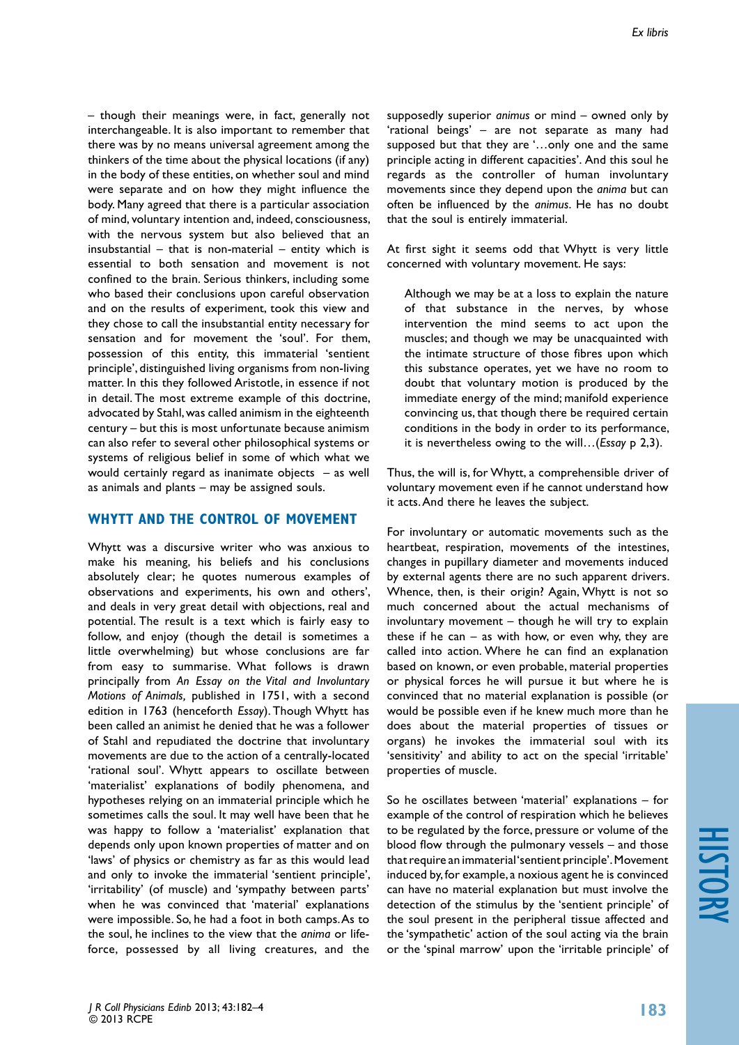– though their meanings were, in fact, generally not interchangeable. It is also important to remember that there was by no means universal agreement among the thinkers of the time about the physical locations (if any) in the body of these entities, on whether soul and mind were separate and on how they might influence the body. Many agreed that there is a particular association of mind, voluntary intention and, indeed, consciousness, with the nervous system but also believed that an insubstantial  $-$  that is non-material  $-$  entity which is essential to both sensation and movement is not confined to the brain. Serious thinkers, including some who based their conclusions upon careful observation and on the results of experiment, took this view and they chose to call the insubstantial entity necessary for sensation and for movement the 'soul'. For them, possession of this entity, this immaterial 'sentient principle', distinguished living organisms from non-living matter. In this they followed Aristotle, in essence if not in detail. The most extreme example of this doctrine, advocated by Stahl, was called animism in the eighteenth century – but this is most unfortunate because animism can also refer to several other philosophical systems or systems of religious belief in some of which what we would certainly regard as inanimate objects – as well as animals and plants – may be assigned souls.

#### **Whytt and the control of movement**

Whytt was a discursive writer who was anxious to make his meaning, his beliefs and his conclusions absolutely clear; he quotes numerous examples of observations and experiments, his own and others', and deals in very great detail with objections, real and potential. The result is a text which is fairly easy to follow, and enjoy (though the detail is sometimes a little overwhelming) but whose conclusions are far from easy to summarise. What follows is drawn principally from *An Essay on the Vital and Involuntary Motions of Animals,* published in 1751, with a second edition in 1763 (henceforth *Essay*). Though Whytt has been called an animist he denied that he was a follower of Stahl and repudiated the doctrine that involuntary movements are due to the action of a centrally-located 'rational soul'. Whytt appears to oscillate between 'materialist' explanations of bodily phenomena, and hypotheses relying on an immaterial principle which he sometimes calls the soul. It may well have been that he was happy to follow a 'materialist' explanation that depends only upon known properties of matter and on 'laws' of physics or chemistry as far as this would lead and only to invoke the immaterial 'sentient principle', 'irritability' (of muscle) and 'sympathy between parts' when he was convinced that 'material' explanations were impossible. So, he had a foot in both camps. As to the soul, he inclines to the view that the *anima* or lifeforce, possessed by all living creatures, and the supposedly superior *animus* or mind – owned only by 'rational beings' – are not separate as many had supposed but that they are '…only one and the same principle acting in different capacities'. And this soul he regards as the controller of human involuntary movements since they depend upon the *anima* but can often be influenced by the *animus*. He has no doubt that the soul is entirely immaterial.

At first sight it seems odd that Whytt is very little concerned with voluntary movement. He says:

Although we may be at a loss to explain the nature of that substance in the nerves, by whose intervention the mind seems to act upon the muscles; and though we may be unacquainted with the intimate structure of those fibres upon which this substance operates, yet we have no room to doubt that voluntary motion is produced by the immediate energy of the mind; manifold experience convincing us, that though there be required certain conditions in the body in order to its performance, it is nevertheless owing to the will…(*Essay* p 2,3).

Thus, the will is, for Whytt, a comprehensible driver of voluntary movement even if he cannot understand how it acts. And there he leaves the subject.

For involuntary or automatic movements such as the heartbeat, respiration, movements of the intestines, changes in pupillary diameter and movements induced by external agents there are no such apparent drivers. Whence, then, is their origin? Again, Whytt is not so much concerned about the actual mechanisms of involuntary movement – though he will try to explain these if he can  $-$  as with how, or even why, they are called into action. Where he can find an explanation based on known, or even probable, material properties or physical forces he will pursue it but where he is convinced that no material explanation is possible (or would be possible even if he knew much more than he does about the material properties of tissues or organs) he invokes the immaterial soul with its 'sensitivity' and ability to act on the special 'irritable' properties of muscle.

So he oscillates between 'material' explanations – for example of the control of respiration which he believes to be regulated by the force, pressure or volume of the blood flow through the pulmonary vessels – and those that require an immaterial 'sentient principle'. Movement induced by, for example, a noxious agent he is convinced can have no material explanation but must involve the detection of the stimulus by the 'sentient principle' of the soul present in the peripheral tissue affected and the 'sympathetic' action of the soul acting via the brain or the 'spinal marrow' upon the 'irritable principle' of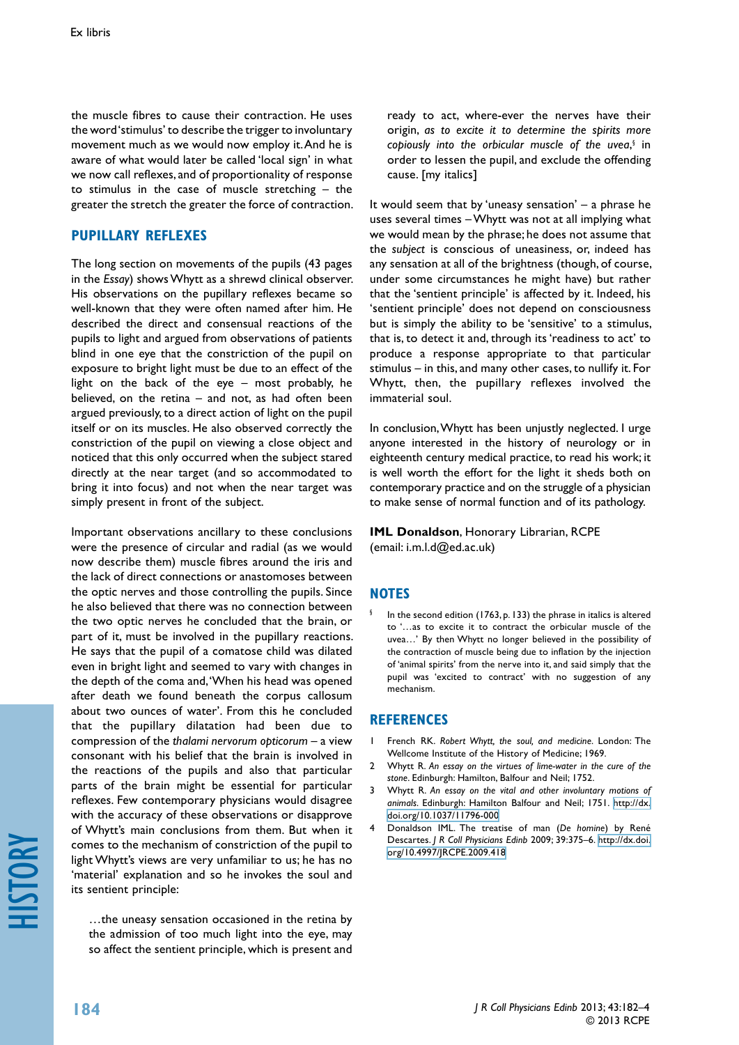the muscle fibres to cause their contraction. He uses the word 'stimulus' to describe the trigger to involuntary movement much as we would now employ it. And he is aware of what would later be called 'local sign' in what we now call reflexes, and of proportionality of response to stimulus in the case of muscle stretching – the greater the stretch the greater the force of contraction.

#### **Pupillary reflexes**

The long section on movements of the pupils (43 pages in the *Essay*) shows Whytt as a shrewd clinical observer. His observations on the pupillary reflexes became so well-known that they were often named after him. He described the direct and consensual reactions of the pupils to light and argued from observations of patients blind in one eye that the constriction of the pupil on exposure to bright light must be due to an effect of the light on the back of the eye – most probably, he believed, on the retina – and not, as had often been argued previously, to a direct action of light on the pupil itself or on its muscles. He also observed correctly the constriction of the pupil on viewing a close object and noticed that this only occurred when the subject stared directly at the near target (and so accommodated to bring it into focus) and not when the near target was simply present in front of the subject.

Important observations ancillary to these conclusions were the presence of circular and radial (as we would now describe them) muscle fibres around the iris and the lack of direct connections or anastomoses between the optic nerves and those controlling the pupils. Since he also believed that there was no connection between the two optic nerves he concluded that the brain, or part of it, must be involved in the pupillary reactions. He says that the pupil of a comatose child was dilated even in bright light and seemed to vary with changes in the depth of the coma and, 'When his head was opened after death we found beneath the corpus callosum about two ounces of water'. From this he concluded that the pupillary dilatation had been due to compression of the *thalami nervorum opticorum* – a view consonant with his belief that the brain is involved in the reactions of the pupils and also that particular parts of the brain might be essential for particular reflexes. Few contemporary physicians would disagree with the accuracy of these observations or disapprove of Whytt's main conclusions from them. But when it comes to the mechanism of constriction of the pupil to light Whytt's views are very unfamiliar to us; he has no 'material' explanation and so he invokes the soul and its sentient principle:

…the uneasy sensation occasioned in the retina by the admission of too much light into the eye, may so affect the sentient principle, which is present and ready to act, where-ever the nerves have their origin, *as to excite it to determine the spirits more*  copiously into the orbicular muscle of the uvea,<sup>§</sup> in order to lessen the pupil, and exclude the offending cause. [my italics]

It would seem that by 'uneasy sensation' – a phrase he uses several times – Whytt was not at all implying what we would mean by the phrase; he does not assume that the *subject* is conscious of uneasiness, or, indeed has any sensation at all of the brightness (though, of course, under some circumstances he might have) but rather that the 'sentient principle' is affected by it. Indeed, his 'sentient principle' does not depend on consciousness but is simply the ability to be 'sensitive' to a stimulus, that is, to detect it and, through its 'readiness to act' to produce a response appropriate to that particular stimulus – in this, and many other cases, to nullify it. For Whytt, then, the pupillary reflexes involved the immaterial soul.

In conclusion, Whytt has been unjustly neglected. I urge anyone interested in the history of neurology or in eighteenth century medical practice, to read his work; it is well worth the effort for the light it sheds both on contemporary practice and on the struggle of a physician to make sense of normal function and of its pathology.

#### **IML Donaldson**, Honorary Librarian, RCPE (email: i.m.l.d@ed.ac.uk)

#### **NOTES**

In the second edition (1763, p. 133) the phrase in italics is altered to '…as to excite it to contract the orbicular muscle of the uvea…' By then Whytt no longer believed in the possibility of the contraction of muscle being due to inflation by the injection of 'animal spirits' from the nerve into it, and said simply that the pupil was 'excited to contract' with no suggestion of any mechanism.

### **References**

- 1 French RK. *Robert Whytt, the soul, and medicine*. London: The Wellcome Institute of the History of Medicine; 1969.
- 2 Whytt R. *An essay on the virtues of lime-water in the cure of the stone*. Edinburgh: Hamilton, Balfour and Neil; 1752.
- 3 Whytt R. *An essay on the vital and other involuntary motions of animals*. Edinburgh: Hamilton Balfour and Neil; 1751. [http://dx.](http://dx.doi.org/10.1037/11796-000) [doi.org/10.1037/11796-000](http://dx.doi.org/10.1037/11796-000)
- 4 Donaldson IML. The treatise of man (*De homine*) by René Descartes. *J R Coll Physicians Edinb* 2009; 39:375–6. [http://dx.doi.](http://dx.doi.org/10.4997/JRCPE.2009.418) [org/10.4997/JRCPE.2009.418](http://dx.doi.org/10.4997/JRCPE.2009.418)

history